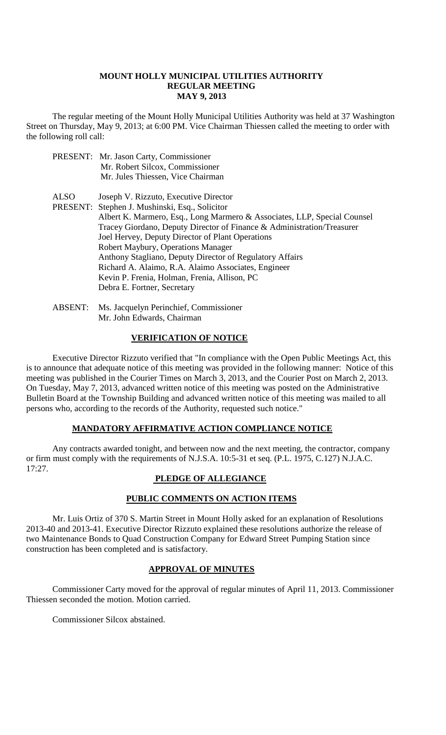#### **MOUNT HOLLY MUNICIPAL UTILITIES AUTHORITY REGULAR MEETING MAY 9, 2013**

The regular meeting of the Mount Holly Municipal Utilities Authority was held at 37 Washington Street on Thursday, May 9, 2013; at 6:00 PM. Vice Chairman Thiessen called the meeting to order with the following roll call:

- PRESENT: Mr. Jason Carty, Commissioner Mr. Robert Silcox, Commissioner Mr. Jules Thiessen, Vice Chairman
- ALSO Joseph V. Rizzuto, Executive Director

PRESENT: Stephen J. Mushinski, Esq., Solicitor Albert K. Marmero, Esq., Long Marmero & Associates, LLP, Special Counsel Tracey Giordano, Deputy Director of Finance & Administration/Treasurer Joel Hervey, Deputy Director of Plant Operations Robert Maybury, Operations Manager Anthony Stagliano, Deputy Director of Regulatory Affairs Richard A. Alaimo, R.A. Alaimo Associates, Engineer Kevin P. Frenia, Holman, Frenia, Allison, PC

ABSENT: Ms. Jacquelyn Perinchief, Commissioner

Debra E. Fortner, Secretary

Mr. John Edwards, Chairman

### **VERIFICATION OF NOTICE**

Executive Director Rizzuto verified that "In compliance with the Open Public Meetings Act, this is to announce that adequate notice of this meeting was provided in the following manner: Notice of this meeting was published in the Courier Times on March 3, 2013, and the Courier Post on March 2, 2013. On Tuesday, May 7, 2013, advanced written notice of this meeting was posted on the Administrative Bulletin Board at the Township Building and advanced written notice of this meeting was mailed to all persons who, according to the records of the Authority, requested such notice."

### **MANDATORY AFFIRMATIVE ACTION COMPLIANCE NOTICE**

Any contracts awarded tonight, and between now and the next meeting, the contractor, company or firm must comply with the requirements of N.J.S.A. 10:5-31 et seq. (P.L. 1975, C.127) N.J.A.C. 17:27.

# **PLEDGE OF ALLEGIANCE**

## **PUBLIC COMMENTS ON ACTION ITEMS**

Mr. Luis Ortiz of 370 S. Martin Street in Mount Holly asked for an explanation of Resolutions 2013-40 and 2013-41. Executive Director Rizzuto explained these resolutions authorize the release of two Maintenance Bonds to Quad Construction Company for Edward Street Pumping Station since construction has been completed and is satisfactory.

### **APPROVAL OF MINUTES**

Commissioner Carty moved for the approval of regular minutes of April 11, 2013. Commissioner Thiessen seconded the motion. Motion carried.

Commissioner Silcox abstained.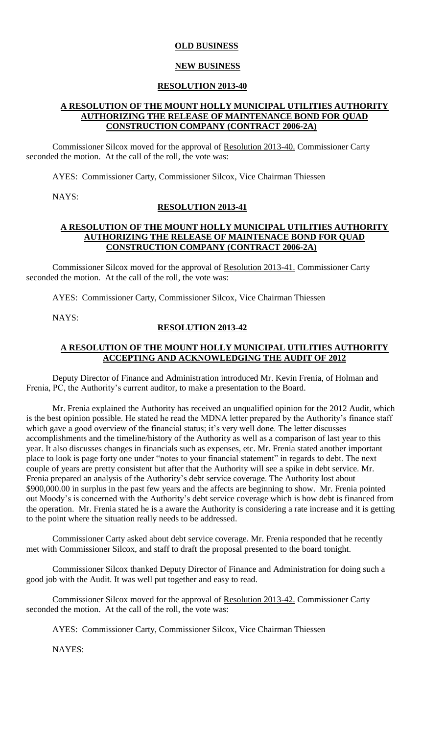#### **OLD BUSINESS**

#### **NEW BUSINESS**

#### **RESOLUTION 2013-40**

#### **A RESOLUTION OF THE MOUNT HOLLY MUNICIPAL UTILITIES AUTHORITY AUTHORIZING THE RELEASE OF MAINTENANCE BOND FOR QUAD CONSTRUCTION COMPANY (CONTRACT 2006-2A)**

Commissioner Silcox moved for the approval of Resolution 2013-40. Commissioner Carty seconded the motion. At the call of the roll, the vote was:

AYES: Commissioner Carty, Commissioner Silcox, Vice Chairman Thiessen

NAYS:

#### **RESOLUTION 2013-41**

#### **A RESOLUTION OF THE MOUNT HOLLY MUNICIPAL UTILITIES AUTHORITY AUTHORIZING THE RELEASE OF MAINTENACE BOND FOR QUAD CONSTRUCTION COMPANY (CONTRACT 2006-2A)**

Commissioner Silcox moved for the approval of Resolution 2013-41. Commissioner Carty seconded the motion. At the call of the roll, the vote was:

AYES: Commissioner Carty, Commissioner Silcox, Vice Chairman Thiessen

NAYS:

## **RESOLUTION 2013-42**

#### **A RESOLUTION OF THE MOUNT HOLLY MUNICIPAL UTILITIES AUTHORITY ACCEPTING AND ACKNOWLEDGING THE AUDIT OF 2012**

Deputy Director of Finance and Administration introduced Mr. Kevin Frenia, of Holman and Frenia, PC, the Authority's current auditor, to make a presentation to the Board.

Mr. Frenia explained the Authority has received an unqualified opinion for the 2012 Audit, which is the best opinion possible. He stated he read the MDNA letter prepared by the Authority's finance staff which gave a good overview of the financial status; it's very well done. The letter discusses accomplishments and the timeline/history of the Authority as well as a comparison of last year to this year. It also discusses changes in financials such as expenses, etc. Mr. Frenia stated another important place to look is page forty one under "notes to your financial statement" in regards to debt. The next couple of years are pretty consistent but after that the Authority will see a spike in debt service. Mr. Frenia prepared an analysis of the Authority's debt service coverage. The Authority lost about \$900,000.00 in surplus in the past few years and the affects are beginning to show. Mr. Frenia pointed out Moody's is concerned with the Authority's debt service coverage which is how debt is financed from the operation. Mr. Frenia stated he is a aware the Authority is considering a rate increase and it is getting to the point where the situation really needs to be addressed.

Commissioner Carty asked about debt service coverage. Mr. Frenia responded that he recently met with Commissioner Silcox, and staff to draft the proposal presented to the board tonight.

Commissioner Silcox thanked Deputy Director of Finance and Administration for doing such a good job with the Audit. It was well put together and easy to read.

Commissioner Silcox moved for the approval of Resolution 2013-42. Commissioner Carty seconded the motion. At the call of the roll, the vote was:

AYES: Commissioner Carty, Commissioner Silcox, Vice Chairman Thiessen

NAYES: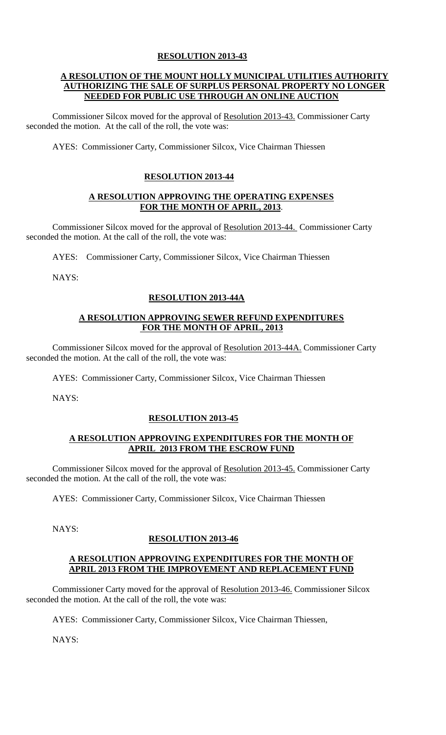# **RESOLUTION 2013-43**

# **A RESOLUTION OF THE MOUNT HOLLY MUNICIPAL UTILITIES AUTHORITY AUTHORIZING THE SALE OF SURPLUS PERSONAL PROPERTY NO LONGER NEEDED FOR PUBLIC USE THROUGH AN ONLINE AUCTION**

Commissioner Silcox moved for the approval of Resolution 2013-43. Commissioner Carty seconded the motion. At the call of the roll, the vote was:

AYES: Commissioner Carty, Commissioner Silcox, Vice Chairman Thiessen

# **RESOLUTION 2013-44**

## **A RESOLUTION APPROVING THE OPERATING EXPENSES FOR THE MONTH OF APRIL, 2013**.

Commissioner Silcox moved for the approval of Resolution 2013-44. Commissioner Carty seconded the motion. At the call of the roll, the vote was:

AYES: Commissioner Carty, Commissioner Silcox, Vice Chairman Thiessen

NAYS:

# **RESOLUTION 2013-44A**

## **A RESOLUTION APPROVING SEWER REFUND EXPENDITURES FOR THE MONTH OF APRIL, 2013**

Commissioner Silcox moved for the approval of Resolution 2013-44A. Commissioner Carty seconded the motion. At the call of the roll, the vote was:

AYES: Commissioner Carty, Commissioner Silcox, Vice Chairman Thiessen

NAYS:

### **RESOLUTION 2013-45**

### **A RESOLUTION APPROVING EXPENDITURES FOR THE MONTH OF APRIL 2013 FROM THE ESCROW FUND**

Commissioner Silcox moved for the approval of Resolution 2013-45. Commissioner Carty seconded the motion. At the call of the roll, the vote was:

AYES: Commissioner Carty, Commissioner Silcox, Vice Chairman Thiessen

NAYS:

### **RESOLUTION 2013-46**

### **A RESOLUTION APPROVING EXPENDITURES FOR THE MONTH OF APRIL 2013 FROM THE IMPROVEMENT AND REPLACEMENT FUND**

Commissioner Carty moved for the approval of Resolution 2013-46. Commissioner Silcox seconded the motion. At the call of the roll, the vote was:

AYES: Commissioner Carty, Commissioner Silcox, Vice Chairman Thiessen,

NAYS: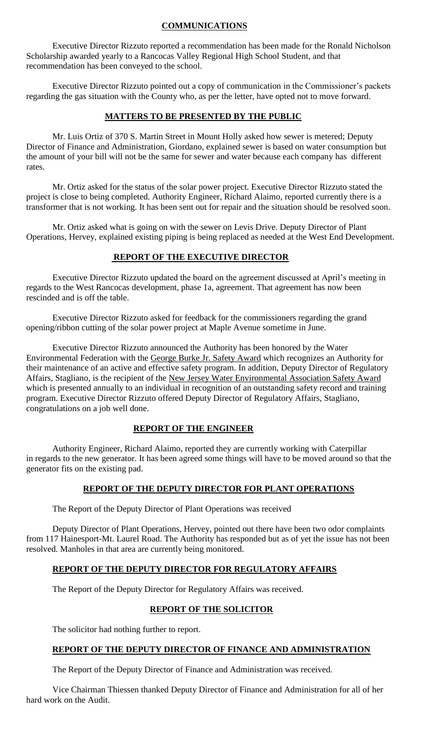# **COMMUNICATIONS**

Executive Director Rizzuto reported a recommendation has been made for the Ronald Nicholson Scholarship awarded yearly to a Rancocas Valley Regional High School Student, and that recommendation has been conveyed to the school.

Executive Director Rizzuto pointed out a copy of communication in the Commissioner's packets regarding the gas situation with the County who, as per the letter, have opted not to move forward.

# **MATTERS TO BE PRESENTED BY THE PUBLIC**

Mr. Luis Ortiz of 370 S. Martin Street in Mount Holly asked how sewer is metered; Deputy Director of Finance and Administration, Giordano, explained sewer is based on water consumption but the amount of your bill will not be the same for sewer and water because each company has different rates.

Mr. Ortiz asked for the status of the solar power project. Executive Director Rizzuto stated the project is close to being completed. Authority Engineer, Richard Alaimo, reported currently there is a transformer that is not working. It has been sent out for repair and the situation should be resolved soon.

Mr. Ortiz asked what is going on with the sewer on Levis Drive. Deputy Director of Plant Operations, Hervey, explained existing piping is being replaced as needed at the West End Development.

#### **REPORT OF THE EXECUTIVE DIRECTOR**

Executive Director Rizzuto updated the board on the agreement discussed at April's meeting in regards to the West Rancocas development, phase 1a, agreement. That agreement has now been rescinded and is off the table.

Executive Director Rizzuto asked for feedback for the commissioners regarding the grand opening/ribbon cutting of the solar power project at Maple Avenue sometime in June.

Executive Director Rizzuto announced the Authority has been honored by the Water Environmental Federation with the George Burke Jr. Safety Award which recognizes an Authority for their maintenance of an active and effective safety program. In addition, Deputy Director of Regulatory Affairs, Stagliano, is the recipient of the New Jersey Water Environmental Association Safety Award which is presented annually to an individual in recognition of an outstanding safety record and training program. Executive Director Rizzuto offered Deputy Director of Regulatory Affairs, Stagliano, congratulations on a job well done.

### **REPORT OF THE ENGINEER**

Authority Engineer, Richard Alaimo, reported they are currently working with Caterpillar in regards to the new generator. It has been agreed some things will have to be moved around so that the generator fits on the existing pad.

# **REPORT OF THE DEPUTY DIRECTOR FOR PLANT OPERATIONS**

The Report of the Deputy Director of Plant Operations was received

Deputy Director of Plant Operations, Hervey, pointed out there have been two odor complaints from 117 Hainesport-Mt. Laurel Road. The Authority has responded but as of yet the issue has not been resolved. Manholes in that area are currently being monitored.

# **REPORT OF THE DEPUTY DIRECTOR FOR REGULATORY AFFAIRS**

The Report of the Deputy Director for Regulatory Affairs was received.

# **REPORT OF THE SOLICITOR**

The solicitor had nothing further to report.

### **REPORT OF THE DEPUTY DIRECTOR OF FINANCE AND ADMINISTRATION**

The Report of the Deputy Director of Finance and Administration was received.

Vice Chairman Thiessen thanked Deputy Director of Finance and Administration for all of her hard work on the Audit.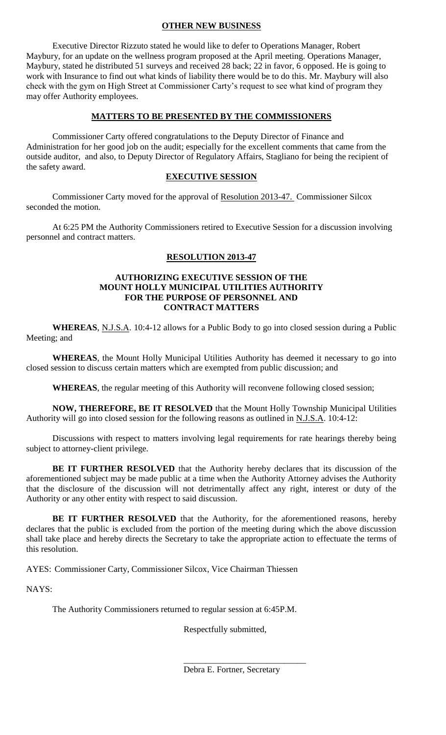# **OTHER NEW BUSINESS**

Executive Director Rizzuto stated he would like to defer to Operations Manager, Robert Maybury, for an update on the wellness program proposed at the April meeting. Operations Manager, Maybury, stated he distributed 51 surveys and received 28 back; 22 in favor, 6 opposed. He is going to work with Insurance to find out what kinds of liability there would be to do this. Mr. Maybury will also check with the gym on High Street at Commissioner Carty's request to see what kind of program they may offer Authority employees.

# **MATTERS TO BE PRESENTED BY THE COMMISSIONERS**

Commissioner Carty offered congratulations to the Deputy Director of Finance and Administration for her good job on the audit; especially for the excellent comments that came from the outside auditor, and also, to Deputy Director of Regulatory Affairs, Stagliano for being the recipient of the safety award.

# **EXECUTIVE SESSION**

Commissioner Carty moved for the approval of Resolution 2013-47. Commissioner Silcox seconded the motion.

At 6:25 PM the Authority Commissioners retired to Executive Session for a discussion involving personnel and contract matters.

# **RESOLUTION 2013-47**

### **AUTHORIZING EXECUTIVE SESSION OF THE MOUNT HOLLY MUNICIPAL UTILITIES AUTHORITY FOR THE PURPOSE OF PERSONNEL AND CONTRACT MATTERS**

**WHEREAS**, N.J.S.A. 10:4-12 allows for a Public Body to go into closed session during a Public Meeting; and

**WHEREAS**, the Mount Holly Municipal Utilities Authority has deemed it necessary to go into closed session to discuss certain matters which are exempted from public discussion; and

**WHEREAS**, the regular meeting of this Authority will reconvene following closed session;

**NOW, THEREFORE, BE IT RESOLVED** that the Mount Holly Township Municipal Utilities Authority will go into closed session for the following reasons as outlined in N.J.S.A. 10:4-12:

Discussions with respect to matters involving legal requirements for rate hearings thereby being subject to attorney-client privilege.

**BE IT FURTHER RESOLVED** that the Authority hereby declares that its discussion of the aforementioned subject may be made public at a time when the Authority Attorney advises the Authority that the disclosure of the discussion will not detrimentally affect any right, interest or duty of the Authority or any other entity with respect to said discussion.

**BE IT FURTHER RESOLVED** that the Authority, for the aforementioned reasons, hereby declares that the public is excluded from the portion of the meeting during which the above discussion shall take place and hereby directs the Secretary to take the appropriate action to effectuate the terms of this resolution.

AYES: Commissioner Carty, Commissioner Silcox, Vice Chairman Thiessen

NAYS:

The Authority Commissioners returned to regular session at 6:45P.M.

Respectfully submitted,

\_\_\_\_\_\_\_\_\_\_\_\_\_\_\_\_\_\_\_\_\_\_\_\_\_\_\_\_